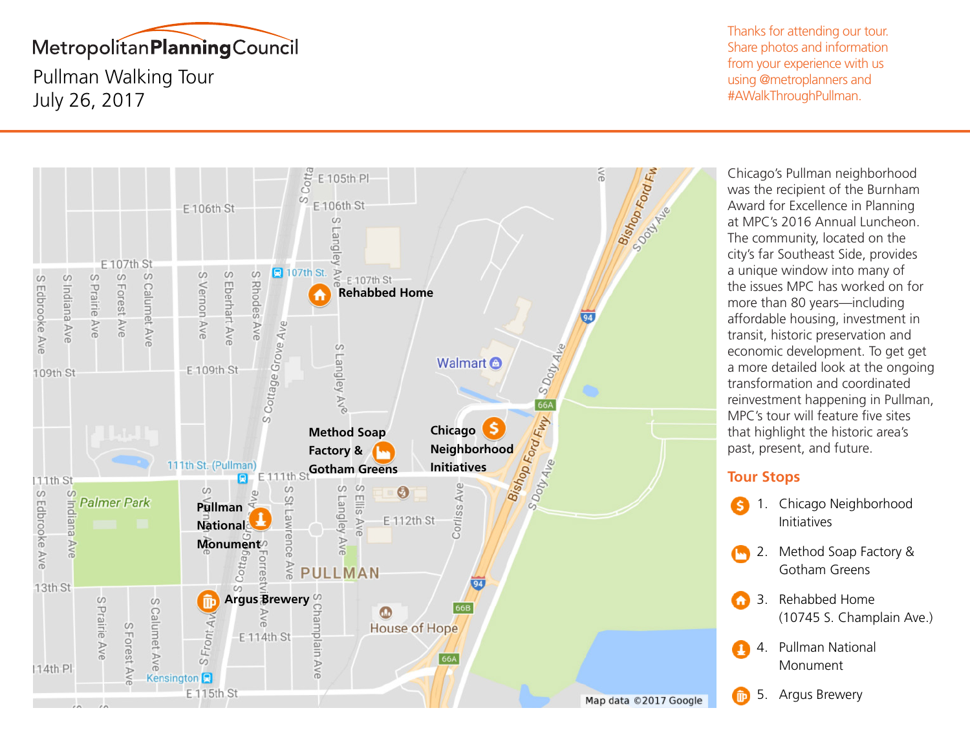

Pullman Walking Tour July 26, 2017

Thanks for attending our tour. Share photos and information from your experience with us using @metroplanners and #AWalkThroughPullman.



Chicago's Pullman neighborhood was the recipient of the Burnham Award for Excellence in Planning at MPC's 2016 Annual Luncheon. The community, located on the city's far Southeast Side, provides a unique window into many of the issues MPC has worked on for more than 80 years—including affordable housing, investment in transit, historic preservation and economic development. To get get a more detailed look at the ongoing transformation and coordinated reinvestment happening in Pullman, MPC's tour will feature five sites that highlight the historic area's past, present, and future.

## **Tour Stops**

- 1. Chicago Neighborhood ۱Ś. Initiatives
	- 2. Method Soap Factory & Gotham Greens
- 3. Rehabbed Home A) (10745 S. Champlain Ave.)
- 4. Pullman National Monument
	- 5. Argus Brewery